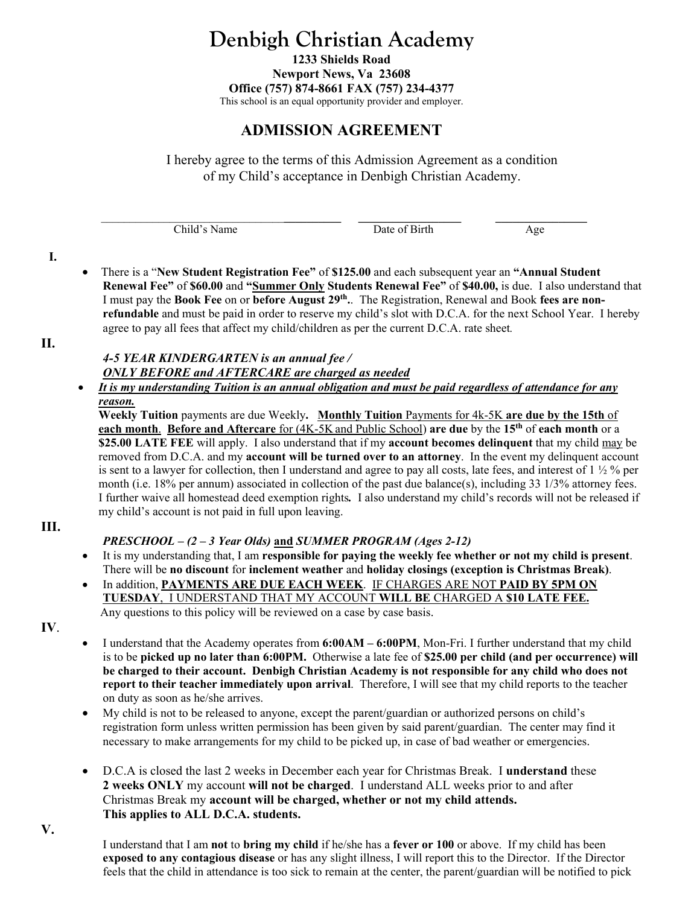# **Denbigh Christian Academy**

**1233 Shields Road Newport News, Va 23608 Office (757) 874-8661 FAX (757) 234-4377**  This school is an equal opportunity provider and employer.

## **ADMISSION AGREEMENT**

I hereby agree to the terms of this Admission Agreement as a condition of my Child's acceptance in Denbigh Christian Academy.

| ≃եild<br>me | 10 <sup>4</sup><br>. | r 2.1<br>$\sim$ $\sim$ $\sim$ |
|-------------|----------------------|-------------------------------|
|             |                      | J                             |

**I.** 

 There is a "**New Student Registration Fee"** of **\$125.00** and each subsequent year an **"Annual Student Renewal Fee"** of **\$60.00** and **"Summer Only Students Renewal Fee"** of **\$40.00,** is due. I also understand that I must pay the **Book Fee** on or **before August 29th.**. The Registration, Renewal and Book **fees are nonrefundable** and must be paid in order to reserve my child's slot with D.C.A. for the next School Year. I hereby agree to pay all fees that affect my child/children as per the current D.C.A. rate sheet*.*

**II.** 

#### *4-5 YEAR KINDERGARTEN is an annual fee / ONLY BEFORE and AFTERCARE are charged as needed*

 *It is my understanding Tuition is an annual obligation and must be paid regardless of attendance for any reason.*

**Weekly Tuition** payments are due Weekly**. Monthly Tuition** Payments for 4k-5K **are due by the 15th** of **each month**. **Before and Aftercare** for (4K-5K and Public School) **are due** by the **15th** of **each month** or a **\$25.00 LATE FEE** will apply. I also understand that if my **account becomes delinquent** that my child may be removed from D.C.A. and my **account will be turned over to an attorney**. In the event my delinquent account is sent to a lawyer for collection, then I understand and agree to pay all costs, late fees, and interest of  $1 \frac{1}{2}$  % per month (i.e. 18% per annum) associated in collection of the past due balance(s), including 33 1/3% attorney fees. I further waive all homestead deed exemption rights*.* I also understand my child's records will not be released if my child's account is not paid in full upon leaving.

#### **III.**

### *PRESCHOOL – (2 – 3 Year Olds)* **and** *SUMMER PROGRAM (Ages 2-12)*

- It is my understanding that, I am **responsible for paying the weekly fee whether or not my child is present**. There will be **no discount** for **inclement weather** and **holiday closings (exception is Christmas Break)**.
- In addition, **PAYMENTS ARE DUE EACH WEEK**. IF CHARGES ARE NOT **PAID BY 5PM ON TUESDAY**, I UNDERSTAND THAT MY ACCOUNT **WILL BE** CHARGED A **\$10 LATE FEE.**  Any questions to this policy will be reviewed on a case by case basis.
- **IV**.
- I understand that the Academy operates from **6:00AM 6:00PM**, Mon-Fri. I further understand that my child is to be **picked up no later than 6:00PM.** Otherwise a late fee of **\$25.00 per child (and per occurrence) will be charged to their account. Denbigh Christian Academy is not responsible for any child who does not report to their teacher immediately upon arrival**. Therefore, I will see that my child reports to the teacher on duty as soon as he/she arrives.
- My child is not to be released to anyone, except the parent/guardian or authorized persons on child's registration form unless written permission has been given by said parent/guardian. The center may find it necessary to make arrangements for my child to be picked up, in case of bad weather or emergencies.
- D.C.A is closed the last 2 weeks in December each year for Christmas Break. I **understand** these **2 weeks ONLY** my account **will not be charged**. I understand ALL weeks prior to and after Christmas Break my **account will be charged, whether or not my child attends. This applies to ALL D.C.A. students.**

**V.** 

I understand that I am **not** to **bring my child** if he/she has a **fever or 100** or above. If my child has been **exposed to any contagious disease** or has any slight illness, I will report this to the Director. If the Director feels that the child in attendance is too sick to remain at the center, the parent/guardian will be notified to pick